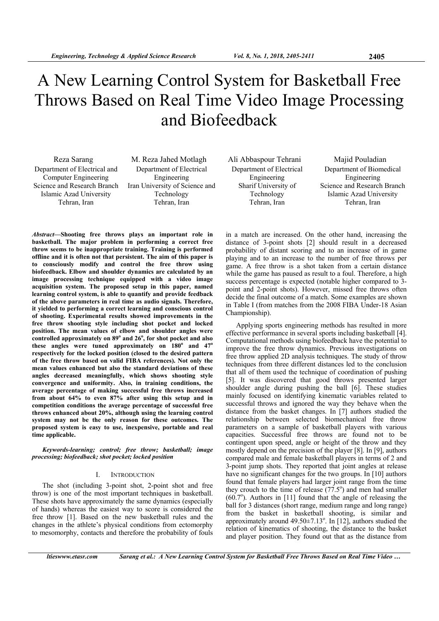# A New Learning Control System for Basketball Free Throws Based on Real Time Video Image Processing and Biofeedback

Department of Electrical and Computer Engineering Science and Research Branch Islamic Azad University Tehran, Iran

Reza Sarang M. Reza Jahed Motlagh Ali Abbaspour Tehrani Majid Pouladian Department of Electrical Engineering Iran University of Science and Technology Tehran, Iran

Department of Electrical Engineering Sharif University of Technology Tehran, Iran

Department of Biomedical Engineering Science and Research Branch Islamic Azad University Tehran, Iran

*Abstract***—Shooting free throws plays an important role in basketball. The major problem in performing a correct free throw seems to be inappropriate training. Training is performed offline and it is often not that persistent. The aim of this paper is to consciously modify and control the free throw using biofeedback. Elbow and shoulder dynamics are calculated by an image processing technique equipped with a video image acquisition system. The proposed setup in this paper, named learning control system, is able to quantify and provide feedback of the above parameters in real time as audio signals. Therefore, it yielded to performing a correct learning and conscious control of shooting. Experimental results showed improvements in the free throw shooting style including shot pocket and locked position. The mean values of elbow and shoulder angles were**  controlled approximately on 89<sup>°</sup> and 26<sup>°</sup>, for shot pocket and also **these angles were tuned approximately on 180<sup>o</sup> and 47<sup>o</sup> respectively for the locked position (closed to the desired pattern of the free throw based on valid FIBA references). Not only the mean values enhanced but also the standard deviations of these angles decreased meaningfully, which shows shooting style convergence and uniformity. Also, in training conditions, the average percentage of making successful free throws increased from about 64% to even 87% after using this setup and in competition conditions the average percentage of successful free throws enhanced about 20%, although using the learning control system may not be the only reason for these outcomes. The proposed system is easy to use, inexpensive, portable and real time applicable.** 

*Keywords-learning; control; free throw; basketball; image processing; biofeedback; shot pocket; locked position* 

## I. INTRODUCTION

The shot (including 3-point shot, 2-point shot and free throw) is one of the most important techniques in basketball. These shots have approximately the same dynamics (especially of hands) whereas the easiest way to score is considered the free throw [1]. Based on the new basketball rules and the changes in the athlete's physical conditions from ectomorphy to mesomorphy, contacts and therefore the probability of fouls in a match are increased. On the other hand, increasing the distance of 3-point shots [2] should result in a decreased probability of distant scoring and to an increase of in game playing and to an increase to the number of free throws per game. A free throw is a shot taken from a certain distance while the game has paused as result to a foul. Therefore, a high success percentage is expected (notable higher compared to 3 point and 2-point shots). However, missed free throws often decide the final outcome of a match. Some examples are shown in Table I (from matches from the 2008 FIBA Under-18 Asian Championship).

Applying sports engineering methods has resulted in more effective performance in several sports including basketball [4]. Computational methods using biofeedback have the potential to improve the free throw dynamics. Previous investigations on free throw applied 2D analysis techniques. The study of throw techniques from three different distances led to the conclusion that all of them used the technique of coordination of pushing [5]. It was discovered that good throws presented larger shoulder angle during pushing the ball [6]. These studies mainly focused on identifying kinematic variables related to successful throws and ignored the way they behave when the distance from the basket changes. In [7] authors studied the relationship between selected biomechanical free throw parameters on a sample of basketball players with various capacities. Successful free throws are found not to be contingent upon speed, angle or height of the throw and they mostly depend on the precision of the player [8]. In [9], authors compared male and female basketball players in terms of 2 and 3-point jump shots. They reported that joint angles at release have no significant changes for the two groups. In [10] authors found that female players had larger joint range from the time they crouch to the time of release  $(77.5^{\circ})$  and men had smaller  $(60.7^{\circ})$ . Authors in [11] found that the angle of releasing the ball for 3 distances (short range, medium range and long range) from the basket in basketball shooting, is similar and approximately around  $49.50 \pm 7.13$ °. In [12], authors studied the relation of kinematics of shooting, the distance to the basket and player position. They found out that as the distance from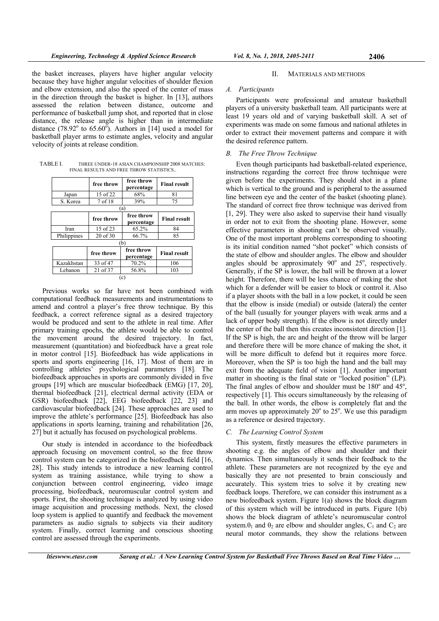the basket increases, players have higher angular velocity because they have higher angular velocities of shoulder flexion and elbow extension, and also the speed of the center of mass in the direction through the basket is higher. In [13], authors assessed the relation between distance, outcome and performance of basketball jump shot, and reported that in close distance, the release angle is higher than in intermediate distance (78.92 $^{\circ}$  to 65.60 $^{\circ}$ ). Authors in [14] used a model for basketball player arms to estimate angles, velocity and angular velocity of joints at release condition.

TABLE I. THREE UNDER-18 ASIAN CHAMPIONSHIP 2008 MATCHES: FINAL RESULTS AND FREE THROW STATISTICS..

|             | free throw | free throw<br>percentage | <b>Final result</b> |
|-------------|------------|--------------------------|---------------------|
| Japan       | 15 of 22   | 68%                      | 81                  |
| S. Korea    | 7 of 18    | 39%                      | 75                  |
| (a)         |            |                          |                     |
|             | free throw | free throw<br>percentage | <b>Final result</b> |
| Iran        | 15 of 23   | 65.2%                    | 84                  |
| Philippines | 20 of 30   | 66.7%                    | 85                  |
| (b)         |            |                          |                     |
|             | free throw | free throw<br>percentage | <b>Final result</b> |
| Kazakhstan  | 33 of 47   | 70.2%                    | 106                 |
| Lebanon     | 21 of 37   | 56.8%                    | 103                 |
| (c)         |            |                          |                     |

Previous works so far have not been combined with computational feedback measurements and instrumentations to amend and control a player's free throw technique. By this feedback, a correct reference signal as a desired trajectory would be produced and sent to the athlete in real time. After primary training epochs, the athlete would be able to control the movement around the desired trajectory. In fact, measurement (quantitation) and biofeedback have a great role in motor control [15]. Biofeedback has wide applications in sports and sports engineering [16, 17]. Most of them are in controlling athletes' psychological parameters [18]. The biofeedback approaches in sports are commonly divided in five groups [19] which are muscular biofeedback (EMG) [17, 20], thermal biofeedback [21], electrical dermal activity (EDA or GSR) biofeedback [22], EEG biofeedback [22, 23] and cardiovascular biofeedback [24]. These approaches are used to improve the athlete's performance [25]. Biofeedback has also applications in sports learning, training and rehabilitation [26, 27] but it actually has focused on psychological problems.

Our study is intended in accordance to the biofeedback approach focusing on movement control, so the free throw control system can be categorized in the biofeedback field [16, 28]. This study intends to introduce a new learning control system as training assistance, while trying to show a conjunction between control engineering, video image processing, biofeedback, neuromuscular control system and sports. First, the shooting technique is analyzed by using video image acquisition and processing methods. Next, the closed loop system is applied to quantify and feedback the movement parameters as audio signals to subjects via their auditory system. Finally, correct learning and conscious shooting control are assessed through the experiments.

## II. MATERIALS AND METHODS

## *A. Participants*

Participants were professional and amateur basketball players of a university basketball team. All participants were at least 19 years old and of varying basketball skill. A set of experiments was made on some famous and national athletes in order to extract their movement patterns and compare it with the desired reference pattern.

## *B. The Free Throw Technique*

Even though participants had basketball-related experience, instructions regarding the correct free throw technique were given before the experiments. They should shot in a plane which is vertical to the ground and is peripheral to the assumed line between eye and the center of the basket (shooting plane). The standard of correct free throw technique was derived from [1, 29]. They were also asked to supervise their hand visually in order not to exit from the shooting plane. However, some effective parameters in shooting can't be observed visually. One of the most important problems corresponding to shooting is its initial condition named "shot pocket" which consists of the state of elbow and shoulder angles. The elbow and shoulder angles should be approximately  $90^\circ$  and  $25^\circ$ , respectively. Generally, if the SP is lower, the ball will be thrown at a lower height. Therefore, there will be less chance of making the shot which for a defender will be easier to block or control it. Also if a player shoots with the ball in a low pocket, it could be seen that the elbow is inside (medial) or outside (lateral) the center of the ball (usually for younger players with weak arms and a lack of upper body strength). If the elbow is not directly under the center of the ball then this creates inconsistent direction [1]. If the SP is high, the arc and height of the throw will be larger and therefore there will be more chance of making the shot, it will be more difficult to defend but it requires more force. Moreover, when the SP is too high the hand and the ball may exit from the adequate field of vision [1]. Another important matter in shooting is the final state or "locked position" (LP). The final angles of elbow and shoulder must be  $180^\circ$  and  $45^\circ$ , respectively [1]. This occurs simultaneously by the releasing of the ball. In other words, the elbow is completely flat and the arm moves up approximately  $20^{\circ}$  to  $25^{\circ}$ . We use this paradigm as a reference or desired trajectory.

## *C. The Learning Control System*

This system, firstly measures the effective parameters in shooting e.g. the angles of elbow and shoulder and their dynamics. Then simultaneously it sends their feedback to the athlete. These parameters are not recognized by the eye and basically they are not presented to brain consciously and accurately. This system tries to solve it by creating new feedback loops. Therefore, we can consider this instrument as a new biofeedback system. Figure 1(a) shows the block diagram of this system which will be introduced in parts. Figure 1(b) shows the block diagram of athlete's neuromuscular control system. $\theta_1$  and  $\theta_2$  are elbow and shoulder angles,  $C_1$  and  $C_2$  are neural motor commands, they show the relations between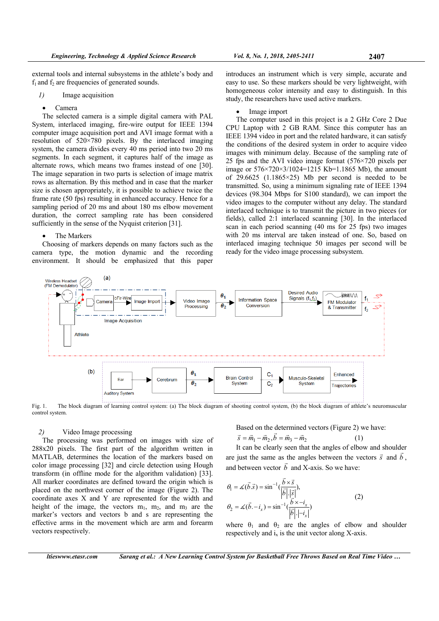external tools and internal subsystems in the athlete's body and  $f_1$  and  $f_2$  are frequencies of generated sounds.

- *1)* Image acquisition
	- Camera

The selected camera is a simple digital camera with PAL System, interlaced imaging, fire-wire output for IEEE 1394 computer image acquisition port and AVI image format with a resolution of 520×780 pixels. By the interlaced imaging system, the camera divides every 40 ms period into two 20 ms segments. In each segment, it captures half of the image as alternate rows, which means two frames instead of one [30]. The image separation in two parts is selection of image matrix rows as alternation. By this method and in case that the marker size is chosen appropriately, it is possible to achieve twice the frame rate (50 fps) resulting in enhanced accuracy. Hence for a sampling period of 20 ms and about 180 ms elbow movement duration, the correct sampling rate has been considered sufficiently in the sense of the Nyquist criterion [31].

# The Markers

Choosing of markers depends on many factors such as the camera type, the motion dynamic and the recording environment. It should be emphasized that this paper

introduces an instrument which is very simple, accurate and easy to use. So these markers should be very lightweight, with homogeneous color intensity and easy to distinguish. In this study, the researchers have used active markers.

#### Image import

The computer used in this project is a 2 GHz Core 2 Due CPU Laptop with 2 GB RAM. Since this computer has an IEEE 1394 video in port and the related hardware, it can satisfy the conditions of the desired system in order to acquire video images with minimum delay. Because of the sampling rate of 25 fps and the AVI video image format (576×720 pixels per image or  $576 \times 720 \times 3/1024 = 1215$  Kb=1.1865 Mb), the amount of 29.6625  $(1.1865 \times 25)$  Mb per second is needed to be transmitted. So, using a minimum signaling rate of IEEE 1394 devices (98.304 Mbps for S100 standard), we can import the video images to the computer without any delay. The standard interlaced technique is to transmit the picture in two pieces (or fields), called 2:1 interlaced scanning [30]. In the interlaced scan in each period scanning (40 ms for 25 fps) two images with 20 ms interval are taken instead of one. So, based on interlaced imaging technique 50 images per second will be ready for the video image processing subsystem.



Fig. 1. The block diagram of learning control system: (a) The block diagram of shooting control system, (b) the block diagram of athlete's neuromuscular control system.

# *2)* Video Image processing

The processing was performed on images with size of 288x20 pixels. The first part of the algorithm written in MATLAB, determines the location of the markers based on color image processing [32] and circle detection using Hough transform (in offline mode for the algorithm validation) [33]. All marker coordinates are defined toward the origin which is placed on the northwest corner of the image (Figure 2). The coordinate axes X and Y are represented for the width and height of the image, the vectors  $m_1$ ,  $m_2$ , and  $m_3$  are the marker's vectors and vectors b and s are representing the effective arms in the movement which are arm and forearm vectors respectively.

Based on the determined vectors (Figure 2) we have:  
\n
$$
\vec{s} = \vec{m}_1 - \vec{m}_2, \vec{b} = \vec{m}_3 - \vec{m}_2
$$
\n(1)

It can be clearly seen that the angles of elbow and shoulder are just the same as the angles between the vectors  $\vec{s}$  and  $\vec{b}$ , and between vector *b* and X-axis. So we have:

$$
\theta_1 = \measuredangle(\vec{b}.\vec{s}) = \sin^{-1}(\frac{\vec{b} \times \vec{s}}{|\vec{b}| \cdot |\vec{s}|}),
$$
\n
$$
\theta_2 = \measuredangle(\vec{b} \cdot - i_x) = \sin^{-1}(\frac{\vec{b} \times -i_x}{|\vec{b}| \cdot |\vec{b}|})
$$
\n(2)

where  $\theta_1$  and  $\theta_2$  are the angles of elbow and shoulder respectively and  $i_x$  is the unit vector along X-axis.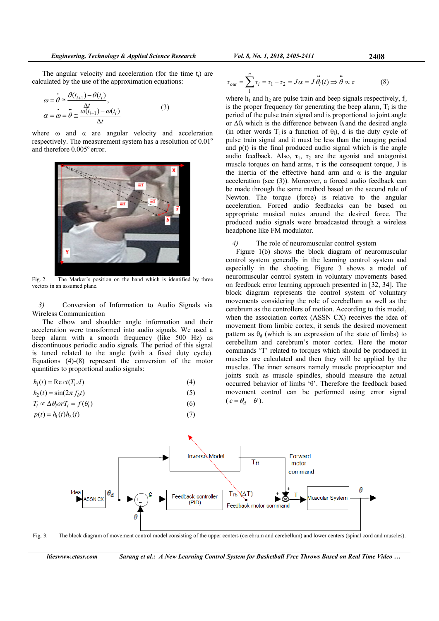The angular velocity and acceleration (for the time  $t_i$ ) are calculated by the use of the approximation equations:

$$
\omega = \dot{\theta} \approx \frac{\theta(t_{i+1}) - \theta(t_i)}{\Delta t},
$$
  
\n
$$
\alpha = \omega = \dot{\theta} \approx \frac{\frac{\Delta t}{\omega(t_{i+1}) - \omega(t_i)}}{\Delta t}
$$
\n(3)

where  $\omega$  and  $\alpha$  are angular velocity and acceleration respectively. The measurement system has a resolution of  $0.01^{\circ}$ and therefore 0.005° error.



Fig. 2. The Marker's position on the hand which is identified by three vectors in an assumed plane.

*3)* Conversion of Information to Audio Signals via Wireless Communication

The elbow and shoulder angle information and their acceleration were transformed into audio signals. We used a beep alarm with a smooth frequency (like 500 Hz) as discontinuous periodic audio signals. The period of this signal is tuned related to the angle (with a fixed duty cycle). Equations (4)-(8) represent the conversion of the motor quantities to proportional audio signals:

$$
h_1(t) = \text{Re}\,ct(T_i.d) \tag{4}
$$

$$
h_2(t) = \sin(2\pi f_b t) \tag{5}
$$

$$
T_i \propto \Delta \theta_i \text{ or } T_i = f(\theta_i) \tag{6}
$$

$$
p(t) = h_1(t)h_2(t) \tag{7}
$$

$$
\tau_{out} = \sum_{1}^{n} \tau_i = \tau_1 - \tau_2 = J\alpha = J\ddot{\theta}_i(t) \Rightarrow \ddot{\theta} \propto \tau \tag{8}
$$

where  $h_1$  and  $h_2$  are pulse train and beep signals respectively,  $f_b$ is the proper frequency for generating the beep alarm,  $T_i$  is the period of the pulse train signal and is proportional to joint angle or  $\Delta\theta_i$  which is the difference between  $\theta_i$  and the desired angle (in other words  $T_i$  is a function of  $\theta_i$ ), d is the duty cycle of pulse train signal and it must be less than the imaging period and p(t) is the final produced audio signal which is the angle audio feedback. Also,  $\tau_1$ ,  $\tau_2$  are the agonist and antagonist muscle torques on hand arms,  $\tau$  is the consequent torque, J is the inertia of the effective hand arm and  $\alpha$  is the angular acceleration (see (3)). Moreover, a forced audio feedback can be made through the same method based on the second rule of Newton. The torque (force) is relative to the angular acceleration. Forced audio feedbacks can be based on appropriate musical notes around the desired force. The produced audio signals were broadcasted through a wireless headphone like FM modulator.

#### *4)* The role of neuromuscular control system

Figure 1(b) shows the block diagram of neuromuscular control system generally in the learning control system and especially in the shooting. Figure 3 shows a model of neuromuscular control system in voluntary movements based on feedback error learning approach presented in [32, 34]. The block diagram represents the control system of voluntary movements considering the role of cerebellum as well as the cerebrum as the controllers of motion. According to this model, when the association cortex (ASSN CX) receives the idea of movement from limbic cortex, it sends the desired movement pattern as  $\theta_d$  (which is an expression of the state of limbs) to cerebellum and cerebrum's motor cortex. Here the motor commands 'T' related to torques which should be produced in muscles are calculated and then they will be applied by the muscles. The inner sensors namely muscle proprioceptor and joints such as muscle spindles, should measure the actual occurred behavior of limbs 'θ'. Therefore the feedback based movement control can be performed using error signal  $(e = \theta_d - \theta)$ .



Fig. 3. The block diagram of movement control model consisting of the upper centers (cerebrum and cerebellum) and lower centers (spinal cord and muscles).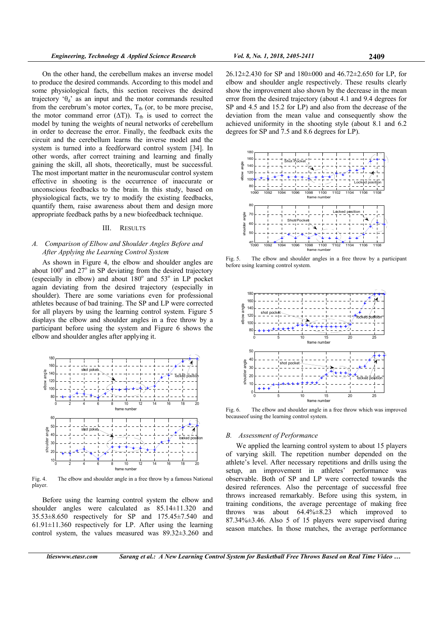On the other hand, the cerebellum makes an inverse model to produce the desired commands. According to this model and some physiological facts, this section receives the desired trajectory ' $\theta_d$ ' as an input and the motor commands resulted from the cerebrum's motor cortex,  $T_{\text{fb}}$  (or, to be more precise, the motor command error  $(\Delta T)$ ). T<sub>fb</sub> is used to correct the model by tuning the weights of neural networks of cerebellum in order to decrease the error. Finally, the feedback exits the circuit and the cerebellum learns the inverse model and the system is turned into a feedforward control system [34]. In other words, after correct training and learning and finally gaining the skill, all shots, theoretically, must be successful. The most important matter in the neuromuscular control system effective in shooting is the occurrence of inaccurate or unconscious feedbacks to the brain. In this study, based on physiological facts, we try to modify the existing feedbacks, quantify them, raise awareness about them and design more appropriate feedback paths by a new biofeedback technique.

## III. RESULTS

# *A. Comparison of Elbow and Shoulder Angles Before and After Applying the Learning Control System*

As shown in Figure 4, the elbow and shoulder angles are about  $100^\circ$  and  $27^\circ$  in SP deviating from the desired trajectory (especially in elbow) and about  $180^\circ$  and  $53^\circ$  in LP pocket again deviating from the desired trajectory (especially in shoulder). There are some variations even for professional athletes because of bad training. The SP and LP were corrected for all players by using the learning control system. Figure 5 displays the elbow and shoulder angles in a free throw by a participant before using the system and Figure 6 shows the elbow and shoulder angles after applying it.



Fig. 4. The elbow and shoulder angle in a free throw by a famous National player.

Before using the learning control system the elbow and shoulder angles were calculated as 85.14±11.320 and 35.53±8.650 respectively for SP and 175.45±7.540 and  $61.91\pm11.360$  respectively for LP. After using the learning control system, the values measured was 89.32±3.260 and

26.12±2.430 for SP and 180±000 and 46.72±2.650 for LP, for elbow and shoulder angle respectively. These results clearly show the improvement also shown by the decrease in the mean error from the desired trajectory (about 4.1 and 9.4 degrees for SP and 4.5 and 15.2 for LP) and also from the decrease of the deviation from the mean value and consequently show the achieved uniformity in the shooting style (about 8.1 and 6.2 degrees for SP and 7.5 and 8.6 degrees for LP).



Fig. 5. The elbow and shoulder angles in a free throw by a participant before using learning control system.



Fig. 6. The elbow and shoulder angle in a free throw which was improved becauseof using the learning control system.

# *B. Assessment of Performance*

We applied the learning control system to about 15 players of varying skill. The repetition number depended on the athlete's level. After necessary repetitions and drills using the setup, an improvement in athletes' performance was observable. Both of SP and LP were corrected towards the desired references. Also the percentage of successful free throws increased remarkably. Before using this system, in training conditions, the average percentage of making free throws was about 64.4%±8.23 which improved to 87.34%±3.46. Also 5 of 15 players were supervised during season matches. In those matches, the average performance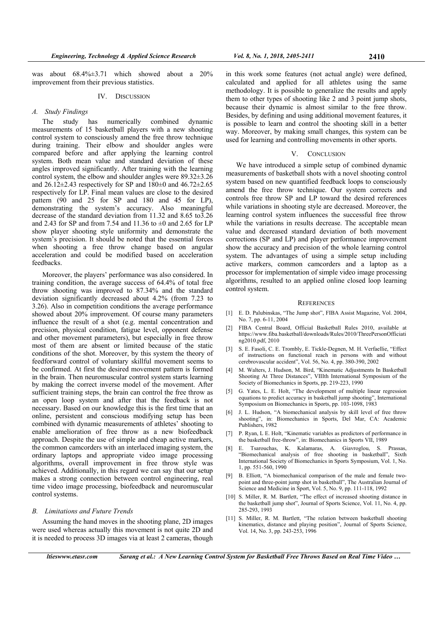was about 68.4%±3.71 which showed about a 20% improvement from their previous statistics.

# IV. DISCUSSION

# *A. Study Findings*

The study has numerically combined dynamic measurements of 15 basketball players with a new shooting control system to consciously amend the free throw technique during training. Their elbow and shoulder angles were compared before and after applying the learning control system. Both mean value and standard deviation of these angles improved significantly. After training with the learning control system, the elbow and shoulder angles were 89.32±3.26 and  $26.12\pm2.43$  respectively for SP and  $180\pm0$  and  $46.72\pm2.65$ respectively for LP. Final mean values are close to the desired pattern (90 and 25 for SP and 180 and 45 for LP), demonstrating the system's accuracy. Also meaningful decrease of the standard deviation from 11.32 and 8.65 to3.26 and 2.43 for SP and from 7.54 and 11.36 to  $\pm 0$  and 2.65 for LP show player shooting style uniformity and demonstrate the system's precision. It should be noted that the essential forces when shooting a free throw change based on angular acceleration and could be modified based on acceleration feedbacks.

Moreover, the players' performance was also considered. In training condition, the average success of 64.4% of total free throw shooting was improved to 87.34% and the standard deviation significantly decreased about 4.2% (from 7.23 to 3.26). Also in competition conditions the average performance showed about 20% improvement. Of course many parameters influence the result of a shot (e.g. mental concentration and precision, physical condition, fatigue level, opponent defense and other movement parameters), but especially in free throw most of them are absent or limited because of the static conditions of the shot. Moreover, by this system the theory of feedforward control of voluntary skillful movement seems to be confirmed. At first the desired movement pattern is formed in the brain. Then neuromuscular control system starts learning by making the correct inverse model of the movement. After sufficient training steps, the brain can control the free throw as an open loop system and after that the feedback is not necessary. Based on our knowledge this is the first time that an online, persistent and conscious modifying setup has been combined with dynamic measurements of athletes' shooting to enable amelioration of free throw as a new biofeedback approach. Despite the use of simple and cheap active markers, the common camcorders with an interlaced imaging system, the ordinary laptops and appropriate video image processing algorithms, overall improvement in free throw style was achieved. Additionally, in this regard we can say that our setup makes a strong connection between control engineering, real time video image processing, biofeedback and neuromuscular control systems.

## *B. Limitations and Future Trends*

Assuming the hand moves in the shooting plane, 2D images were used whereas actually this movement is not quite 2D and it is needed to process 3D images via at least 2 cameras, though

in this work some features (not actual angle) were defined, calculated and applied for all athletes using the same methodology. It is possible to generalize the results and apply them to other types of shooting like 2 and 3 point jump shots, because their dynamic is almost similar to the free throw. Besides, by defining and using additional movement features, it is possible to learn and control the shooting skill in a better way. Moreover, by making small changes, this system can be used for learning and controlling movements in other sports.

#### V. CONCLUSION

We have introduced a simple setup of combined dynamic measurements of basketball shots with a novel shooting control system based on new quantified feedback loops to consciously amend the free throw technique. Our system corrects and controls free throw SP and LP toward the desired references while variations in shooting style are decreased. Moreover, the learning control system influences the successful free throw while the variations in results decrease. The acceptable mean value and decreased standard deviation of both movement corrections (SP and LP) and player performance improvement show the accuracy and precision of the whole learning control system. The advantages of using a simple setup including active markers, common camcorders and a laptop as a processor for implementation of simple video image processing algorithms, resulted to an applied online closed loop learning control system.

#### **REFERENCES**

- [1] E. D. Palubinskas, "The Jump shot", FIBA Assist Magazine, Vol. 2004, No. 7, pp. 6-11, 2004
- [2] FIBA Central Board, Official Basketball Rules 2010, available at https://www.fiba.basketball/downloads/Rules/2010/ThreePersonOfficiati ng2010.pdf, 2010
- [3] S. E. Fasoli, C. E. Trombly, E. Tickle-Degnen, M. H. Verfaellie, "Effect of instructions on functional reach in persons with and without cerebrovascular accident", Vol. 56, No. 4, pp. 380-390, 2002
- [4] M. Walters, J. Hudson, M. Bird, "Kinematic Adjustments In Basketball Shooting At Three Distances", VIIIth International Symposium of the Society of Biomechanics in Sports, pp. 219-223, 1990
- [5] G. Yates, L. E. Holt, "The development of multiple linear regression equations to predict accuracy in basketball jump shooting", International Symposium on Biomechanics in Sports, pp. 103-1098, 1983
- [6] J. L. Hudson, "A biomechanical analysis by skill level of free throw shooting", in: Biomechanics in Sports, Del Mar, CA: Academic Publishers, 1982
- [7] P. Ryan, L E. Holt, "Kinematic variables as predictors of performance in the basketball free-throw", in: Biomechanics in Sports VII, 1989
- [8] E. Tsarouchas, K. Kalamaras, A. Giavroglou, S. Prassas, "Biomechanical analysis of free shooting in basketball", Sixth International Society of Biomechanics in Sports Symposium, Vol. 1, No. 1, pp. 551-560, 1990
- [9] B. Elliott, "A biomechanical comparison of the male and female twopoint and three-point jump shot in basketball", The Australian Journal of Science and Medicine in Sport, Vol. 5, No. 9, pp. 111-118, 1992
- [10] S. Miller, R. M. Bartlett, "The effect of increased shooting distance in the basketball jump shot", Journal of Sports Science, Vol. 11, No. 4, pp. 285-293, 1993
- [11] S. Miller, R. M. Bartlett, "The relation between basketball shooting kinematics, distance and playing position", Journal of Sports Science, Vol. 14, No. 3, pp. 243-253, 1996